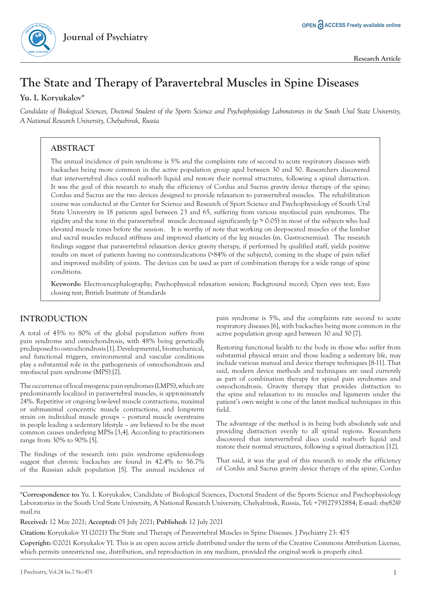# **The State and Therapy of Paravertebral Muscles in Spine Diseases**

# **Yu. I. Koryukalov\***

**ISSN: 2378-5756**

*Candidate of Biological Sciences, Doctoral Student of the Sports Science and Psychophysiology Laboratories in the South Ural State University, A National Research University, Chelyabinsk, Russia*

# **ABSTRACT**

The annual incidence of pain syndrome is 5% and the complaints rate of second to acute respiratory diseases with backaches being more common in the active population group aged between 30 and 50. Researchers discovered that intervertebral discs could reabsorb liquid and restore their normal structures, following a spinal distraction. It was the goal of this research to study the efficiency of Cordus and Sacrus gravity device therapy of the spine; Cordus and Sacrus are the two devices designed to provide relaxation to paravertebral muscles. The rehabilitation course was conducted at the Center for Science and Research of Sport Science and Psychophysiology of South Ural State University in 18 patients aged between 23 and 65, suffering from various myofascial pain syndromes. The rigidity and the tone in the paravertebral muscle decreased significantly (p > 0.05) in most of the subjects who had elevated muscle tones before the session. It is worthy of note that working on deep-seated muscles of the lumbar and sacral muscles reduced stiffness and improved elasticity of the leg muscles (m. Gastrocnemius). The research findings suggest that paravertebral relaxation device gravity therapy, if performed by qualified staff, yields positive results on most of patients having no contraindications (>84% of the subjects), coming in the shape of pain relief and improved mobility of joints. The devices can be used as part of combination therapy for a wide range of spine conditions.

**Keywords:** Electroencephalography; Psychophysical relaxation session; Background record; Open eyes test; Eyes closing test; British Institute of Standards

# **INTRODUCTION**

A total of 45% to 80% of the global population suffers from pain syndrome and osteochondrosis, with 48% being genetically predisposed to osteochondrosis [1]. Developmental, biomechanical, and functional triggers, environmental and vascular conditions play a substantial role in the pathogenesis of osteochondrosis and myofascial pain syndrome (MPS) [2].

The occurrence of local myogenic pain syndromes (LMPS), which are predominantly localized in paravertebral muscles, is approximately 24%. Repetitive or ongoing low-level muscle contractions, maximal or submaximal concentric muscle contractions, and long-term strain on individual muscle groups – postural muscle overstrains in people leading a sedentary lifestyle – are believed to be the most common causes underlying MPSs [3,4]. According to practitioners range from 30% to 90% [5].

The findings of the research into pain syndrome epidemiology suggest that chronic backaches are found in 42.4% to 56.7% of the Russian adult population [5]. The annual incidence of pain syndrome is 5%, and the complaints rate second to acute respiratory diseases [6], with backaches being more common in the active population group aged between 30 and 50 [7].

Restoring functional health to the body in those who suffer from substantial physical strain and those leading a sedentary life, may include various manual and device therapy techniques [8-11]. That said, modern device methods and techniques are used currently as part of combination therapy for spinal pain syndromes and osteochondrosis. Gravity therapy that provides distraction to the spine and relaxation to its muscles and ligaments under the patient's own weight is one of the latest medical techniques in this field.

The advantage of the method is in being both absolutely safe and providing distraction evenly to all spinal regions. Researchers discovered that intervertebral discs could reabsorb liquid and restore their normal structures, following a spinal distraction [12].

That said, it was the goal of this research to study the efficiency of Cordus and Sacrus gravity device therapy of the spine; Cordus

**\*Correspondence to:** Yu. I. Koryukalov, Candidate of Biological Sciences, Doctoral Student of the Sports Science and Psychophysiology Laboratories in the South Ural State University, A National Research University, Chelyabinsk, Russia, Tel: +79127932884; E-mail: rhy82@ mail.ru

**Received:** 12 May 2021; **Accepted:** 05 July 2021; **Published:** 12 July 2021

**Citation:** Koryukalov YI (2021) The State and Therapy of Paravertebral Muscles in Spine Diseases. J Psychiatry 23: 475

**Copyright:** ©2021 Koryukalov YI. This is an open access article distributed under the term of the Creative Commons Attribution License, which permits unrestricted use, distribution, and reproduction in any medium, provided the original work is properly cited.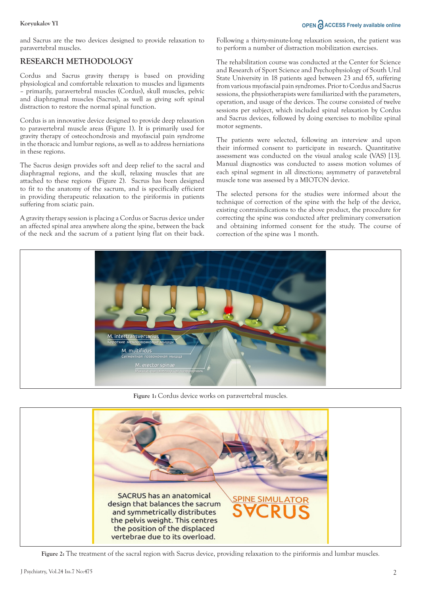### **Koryukalov YI OPEN ACCESS Freely available online**

and Sacrus are the two devices designed to provide relaxation to paravertebral muscles.

# **RESEARCH METHODOLOGY**

Cordus and Sacrus gravity therapy is based on providing physiological and comfortable relaxation to muscles and ligaments – primarily, paravertebral muscles (Cordus), skull muscles, pelvic and diaphragmal muscles (Sacrus), as well as giving soft spinal distraction to restore the normal spinal function.

Cordus is an innovative device designed to provide deep relaxation to paravertebral muscle areas (Figure 1). It is primarily used for gravity therapy of osteochondrosis and myofascial pain syndrome in the thoracic and lumbar regions, as well as to address herniations in these regions.

The Sacrus design provides soft and deep relief to the sacral and diaphragmal regions, and the skull, relaxing muscles that are attached to these regions (Figure 2). Sacrus has been designed to fit to the anatomy of the sacrum, and is specifically efficient in providing therapeutic relaxation to the piriformis in patients suffering from sciatic pain.

A gravity therapy session is placing a Cordus or Sacrus device under an affected spinal area anywhere along the spine, between the back of the neck and the sacrum of a patient lying flat on their back.

Following a thirty-minute-long relaxation session, the patient was to perform a number of distraction mobilization exercises.

The rehabilitation course was conducted at the Center for Science and Research of Sport Science and Psychophysiology of South Ural State University in 18 patients aged between 23 and 65, suffering from various myofascial pain syndromes. Prior to Cordus and Sacrus sessions, the physiotherapists were familiarized with the parameters, operation, and usage of the devices. The course consisted of twelve sessions per subject, which included spinal relaxation by Cordus and Sacrus devices, followed by doing exercises to mobilize spinal motor segments.

The patients were selected, following an interview and upon their informed consent to participate in research. Quantitative assessment was conducted on the visual analog scale (VAS) [13]. Manual diagnostics was conducted to assess motion volumes of each spinal segment in all directions; asymmetry of paravetebral muscle tone was assessed by a MIOTON device.

The selected persons for the studies were informed about the technique of correction of the spine with the help of the device, existing contraindications to the above product, the procedure for correcting the spine was conducted after preliminary conversation and obtaining informed consent for the study. The course of correction of the spine was 1 month.



**Figure 1:** Cordus device works on paravertebral muscles.



**Figure 2:** The treatment of the sacral region with Sacrus device, providing relaxation to the piriformis and lumbar muscles.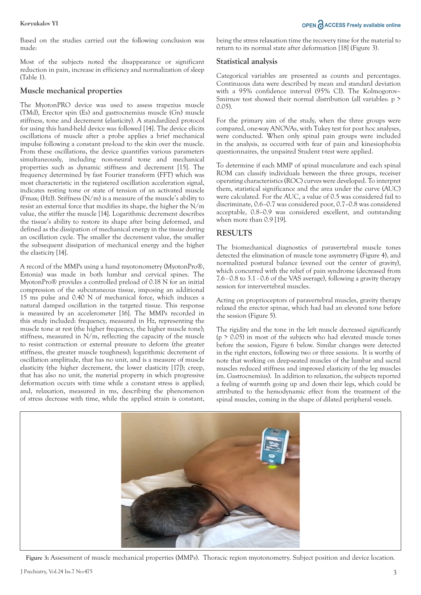**Koryukalov YI OPEN ACCESS Freely available online** 

Based on the studies carried out the following conclusion was made:

Most of the subjects noted the disappearance or significant reduction in pain, increase in efficiency and normalization of sleep (Table 1).

#### **Muscle mechanical properties**

The MyotonPRO device was used to assess trapezius muscle (TMd), Erector spin (Es) and gastrocnemius muscle (Gn) muscle stiffness, tone and decrement (elasticity). A standardized protocol for using this hand-held device was followed [14]. The device elicits oscillations of muscle after a probe applies a brief mechanical impulse following a constant pre-load to the skin over the muscle. From these oscillations, the device quantifies various parameters simultaneously, including non-neural tone and mechanical properties such as dynamic stiffness and decrement [15]. The frequency determined by fast Fourier transform (FFT) which was most characteristic in the registered oscillation acceleration signal, indicates resting tone or state of tension of an activated muscle (Fmax:  $(Hz)$ ). Stiffness  $(N/m)$  is a measure of the muscle's ability to resist an external force that modifies its shape, the higher the N/m value, the stiffer the muscle [14]. Logarithmic decrement describes the tissue's ability to restore its shape after being deformed, and defined as the dissipation of mechanical energy in the tissue during an oscillation cycle. The smaller the decrement value, the smaller the subsequent dissipation of mechanical energy and the higher the elasticity [14].

A record of the MMPs using a hand myotonometry (MyotonPro®, Estonia) was made in both lumbar and cervical spines. The MyotonPro® provides a controlled preload of 0.18 N for an initial compression of the subcutaneous tissue, imposing an additional 15 ms pulse and 0.40 N of mechanical force, which induces a natural damped oscillation in the targeted tissue. This response is measured by an accelerometer [16]. The MMPs recorded in this study included: frequency, measured in Hz, representing the muscle tone at rest (the higher frequency, the higher muscle tone); stiffness, measured in N/m, reflecting the capacity of the muscle to resist contraction or external pressure to deform (the greater stiffness, the greater muscle toughness); logarithmic decrement of oscillation amplitude, that has no unit, and is a measure of muscle elasticity (the higher decrement, the lower elasticity [17]); creep, that has also no unit, the material property in which progressive deformation occurs with time while a constant stress is applied; and, relaxation, measured in ms, describing the phenomenon of stress decrease with time, while the applied strain is constant,

being the stress relaxation time the recovery time for the material to return to its normal state after deformation [18] (Figure 3).

#### **Statistical analysis**

Categorical variables are presented as counts and percentages. Continuous data were described by mean and standard deviation with a 95% confidence interval (95% CI). The Kolmogorov– Smirnov test showed their normal distribution (all variables: p > 0.05).

For the primary aim of the study, when the three groups were compared, one-way ANOVAs, with Tukey test for post hoc analyses, were conducted. When only spinal pain groups were included in the analysis, as occurred with fear of pain and kinesiophobia questionnaires, the unpaired Student t-test were applied.

To determine if each MMP of spinal musculature and each spinal ROM can classify individuals between the three groups, receiver operating characteristics (ROC) curves were developed. To interpret them, statistical significance and the area under the curve (AUC) were calculated. For the AUC, a value of 0.5 was considered fail to discriminate, 0.6–0.7 was considered poor, 0.7–0.8 was considered acceptable, 0.8–0.9 was considered excellent, and outstanding when more than 0.9 [19].

### **RESULTS**

The biomechanical diagnostics of paravertebral muscle tones detected the elimination of muscle tone asymmetry (Figure 4), and normalized postural balance (evened out the center of gravity), which concurred with the relief of pain syndrome (decreased from 7.6 - 0.8 to 3.1 - 0.6 of the VAS average), following a gravity therapy session for intervertebral muscles.

Acting on proprioceptors of paravertebral muscles, gravity therapy relaxed the erector spinae, which had had an elevated tone before the session (Figure 5).

The rigidity and the tone in the left muscle decreased significantly  $(p > 0.05)$  in most of the subjects who had elevated muscle tones before the session, Figure 6 below. Similar changes were detected in the right erectors, following two or three sessions. It is worthy of note that working on deep-seated muscles of the lumbar and sacral muscles reduced stiffness and improved elasticity of the leg muscles (m. Gastrocnemius). In addition to relaxation, the subjects reported a feeling of warmth going up and down their legs, which could be attributed to the hemodynamic effect from the treatment of the spinal muscles, coming in the shape of dilated peripheral vessels.



**Figure 3:** Assessment of muscle mechanical properties (MMPs). Thoracic region myotonometry. Subject position and device location.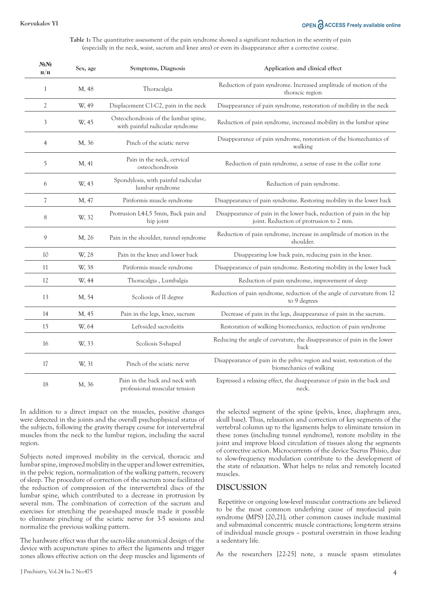### **Koryukalov YI OPEN ACCESS Freely available online**

**Table 1:** The quantitative assessment of the pain syndrome showed a significant reduction in the severity of pain (especially in the neck, waist, sacrum and knee area) or even its disappearance after a corrective course.

| $N_2N_2$<br>$\Pi/\Pi$    | Sex, age | Symptoms, Diagnosis                                                     | Application and clinical effect                                                                                  |
|--------------------------|----------|-------------------------------------------------------------------------|------------------------------------------------------------------------------------------------------------------|
| 1                        | M, 48    | Thoracalgia                                                             | Reduction of pain syndrome. Increased amplitude of motion of the<br>thoracic region                              |
| $\overline{2}$           | W, 49    | Displacement C1-C2, pain in the neck                                    | Disappearance of pain syndrome, restoration of mobility in the neck                                              |
| 3                        | W, 45    | Osteochondrosis of the lumbar spine,<br>with painful radicular syndrome | Reduction of pain syndrome, increased mobility in the lumbar spine                                               |
| $\overline{4}$           | M, 36    | Pinch of the sciatic nerve                                              | Disappearance of pain syndrome, restoration of the biomechanics of<br>walking                                    |
| 5                        | M, 41    | Pain in the neck, cervical<br>osteochondrosis                           | Reduction of pain syndrome, a sense of ease in the collar zone                                                   |
| 6                        | W, 43    | Spondylosis, with painful radicular<br>lumbar syndrome                  | Reduction of pain syndrome.                                                                                      |
| $\overline{\mathcal{U}}$ | M, 47    | Piriformis muscle syndrome                                              | Disappearance of pain syndrome. Restoring mobility in the lower back                                             |
| 8                        | W, 32    | Protrusion L4-L5 5mm, Back pain and<br>hip joint                        | Disappearance of pain in the lower back, reduction of pain in the hip<br>joint. Reduction of protrusion to 2 mm. |
| 9                        | M, 26    | Pain in the shoulder, tunnel syndrome                                   | Reduction of pain syndrome, increase in amplitude of motion in the<br>shoulder.                                  |
| 10                       | W, 28    | Pain in the knee and lower back                                         | Disappearing low back pain, reducing pain in the knee.                                                           |
| 11                       | W, 38    | Piriformis muscle syndrome                                              | Disappearance of pain syndrome. Restoring mobility in the lower back                                             |
| 12                       | W, 44    | Thoracalgia, Lumbalgia                                                  | Reduction of pain syndrome, improvement of sleep                                                                 |
| 13                       | M, 54    | Scoliosis of II degree                                                  | Reduction of pain syndrome, reduction of the angle of curvature from 12<br>to 9 degrees                          |
| 14                       | M, 45    | Pain in the legs, knee, sacrum                                          | Decrease of pain in the legs, disappearance of pain in the sacrum.                                               |
| 15                       | W, 64    | Left-sided sacroileitis                                                 | Restoration of walking biomechanics, reduction of pain syndrome                                                  |
| 16                       | W, 33    | Scoliosis S-shaped                                                      | Reducing the angle of curvature, the disappearance of pain in the lower<br>back                                  |
| 17                       | W, 31    | Pinch of the sciatic nerve                                              | Disappearance of pain in the pelvic region and waist, restoration of the<br>biomechanics of walking              |
| 18                       | M, 36    | Pain in the back and neck with<br>professional muscular tension         | Expressed a relaxing effect, the disappearance of pain in the back and<br>neck.                                  |

In addition to a direct impact on the muscles, positive changes were detected in the joints and the overall psychophysical status of the subjects, following the gravity therapy course for intervertebral muscles from the neck to the lumbar region, including the sacral region.

Subjects noted improved mobility in the cervical, thoracic and lumbar spine, improved mobility in the upper and lower extremities, in the pelvic region, normalization of the walking pattern, recovery of sleep. The procedure of correction of the sacrum zone facilitated the reduction of compression of the intervertebral discs of the lumbar spine, which contributed to a decrease in protrusion by several mm. The combination of correction of the sacrum and exercises for stretching the pear-shaped muscle made it possible to eliminate pinching of the sciatic nerve for 3-5 sessions and normalize the previous walking pattern.

The hardware effect was that the sacro-like anatomical design of the device with acupuncture spines to affect the ligaments and trigger zones allows effective action on the deep muscles and ligaments of the selected segment of the spine (pelvis, knee, diaphragm area, skull base). Thus, relaxation and correction of key segments of the vertebral column up to the ligaments helps to eliminate tension in these zones (including tunnel syndrome), restore mobility in the joint and improve blood circulation of tissues along the segments of corrective action. Microcurrents of the device Sacrus Phisio, due to slow-frequency modulation contribute to the development of the state of relaxation. What helps to relax and remotely located muscles.

#### **DISCUSSION**

 Repetitive or ongoing low-level muscular contractions are believed to be the most common underlying cause of myofascial pain syndrome (MPS) [20,21]; other common causes include maximal and submaximal concentric muscle contractions; long-term strains of individual muscle groups – postural overstrain in those leading a sedentary life.

As the researchers [22-25] note, a muscle spasm stimulates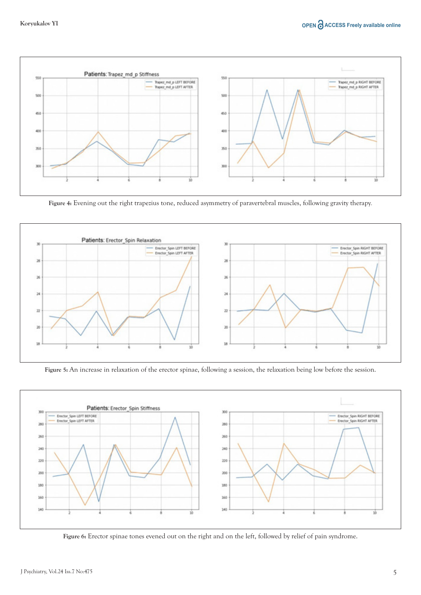

**Figure 4:** Evening out the right trapezius tone, reduced asymmetry of paravertebral muscles, following gravity therapy.



**Figure 5:** An increase in relaxation of the erector spinae, following a session, the relaxation being low before the session.



**Figure 6:** Erector spinae tones evened out on the right and on the left, followed by relief of pain syndrome.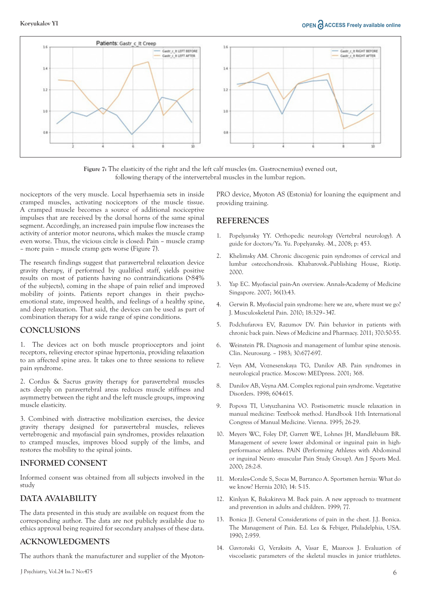

**Figure 7:** The elasticity of the right and the left calf muscles (m. Gastrocnemius) evened out, following therapy of the intervertebral muscles in the lumbar region.

nociceptors of the very muscle. Local hyperhaemia sets in inside cramped muscles, activating nociceptors of the muscle tissue. A cramped muscle becomes a source of additional nociceptive impulses that are received by the dorsal horns of the same spinal segment. Accordingly, an increased pain impulse flow increases the activity of anterior motor neurons, which makes the muscle cramp even worse. Thus, the vicious circle is closed: Pain – muscle cramp – more pain – muscle cramp gets worse (Figure 7).

The research findings suggest that paravertebral relaxation device gravity therapy, if performed by qualified staff, yields positive results on most of patients having no contraindications (>84% of the subjects), coming in the shape of pain relief and improved mobility of joints. Patients report changes in their psychoemotional state, improved health, and feelings of a healthy spine, and deep relaxation. That said, the devices can be used as part of combination therapy for a wide range of spine conditions.

#### **CONCLUSIONS**

1. The devices act on both muscle proprioceptors and joint receptors, relieving erector spinae hypertonia, providing relaxation to an affected spine area. It takes one to three sessions to relieve pain syndrome.

2. Cordus & Sacrus gravity therapy for paravertebral muscles acts deeply on paravertebral areas reduces muscle stiffness and asymmetry between the right and the left muscle groups, improving muscle elasticity.

3. Combined with distractive mobilization exercises, the device gravity therapy designed for paravertebral muscles, relieves vertebrogenic and myofascial pain syndromes, provides relaxation to cramped muscles, improves blood supply of the limbs, and restores the mobility to the spinal joints.

#### **INFORMED CONSENT**

Informed consent was obtained from all subjects involved in the study

### **DATA AVAIABILITY**

The data presented in this study are available on request from the corresponding author. The data are not publicly available due to ethics approval being required for secondary analyses of these data.

#### **ACKNOWLEDGMENTS**

The authors thank the manufacturer and supplier of the Myoton-

PRO device, Myoton AS (Estonia) for loaning the equipment and providing training.

#### **REFERENCES**

- 1. Popelyansky YY. Orthopedic neurology (Vertebral neurology). A guide for doctors/Ya. Yu. Popelyansky. -M., 2008; p: 453.
- 2. Khelimsky AM. Chronic discogenic pain syndromes of cervical and lumbar osteochondrosis. Khabarovsk.-Publishing House, Riotip. 2000.
- 3. Yap EC. Myofascial pain-An overview. Annals-Academy of Medicine Singapore. 2007; 36(1):43.
- 4. Gerwin R. Myofascial pain syndrome: here we are, where must we go? J. Musculoskeletal Pain. 2010; 18:329–347.
- 5. Podchufarova EV, Razumov DV. Pain behavior in patients with chronic back pain. News of Medicine and Pharmacy. 2011; 370:50-55.
- 6. Weinstein PR. Diagnosis and management of lumbar spine stenosis. Clin. Neurosurg. – 1983; 30:677-697.
- 7. Veyn AM, Voznesenskaya TG, Danilov AB. Pain syndromes in neurological practice. Moscow: MEDpress. 2001; 368.
- 8. Danilov AB, Veyna AM. Complex regional pain syndrome. Vegetative Disorders. 1998; 604-615.
- 9. Popova TI, Ustyuzhanina VO. Postisometric muscle relaxation in manual medicine: Textbook method. Handbook 11th International Congress of Manual Medicine. Vienna. 1995; 26-29.
- 10. Meyers WC, Foley DP, Garrett WE, Lohnes JH, Mandlebaum BR. Management of severe lower abdominal or inguinal pain in highperformance athletes. PAiN (Performing Athletes with Abdominal or inguinal Neuro -muscular Pain Study Group). Am J Sports Med. 2000; 28:2-8.
- 11. Morales-Conde S, Socas M, Barranco A. Sportsmen hernia: What do we know? Hernia 2010; 14: 5-15.
- 12. Kinlyan K, Bakakireva M. Back pain. A new approach to treatment and prevention in adults and children. 1999; 77.
- 13. Bonica JJ. General Considerations of pain in the chest. J.J. Bonica. The Management of Pain. Ed. Lea & Febiger, Philadelphia, USA. 1990; 2:959.
- 14. Gavronski G, Veraksits A, Vasar E, Maaroos J. Evaluation of viscoelastic parameters of the skeletal muscles in junior triathletes.